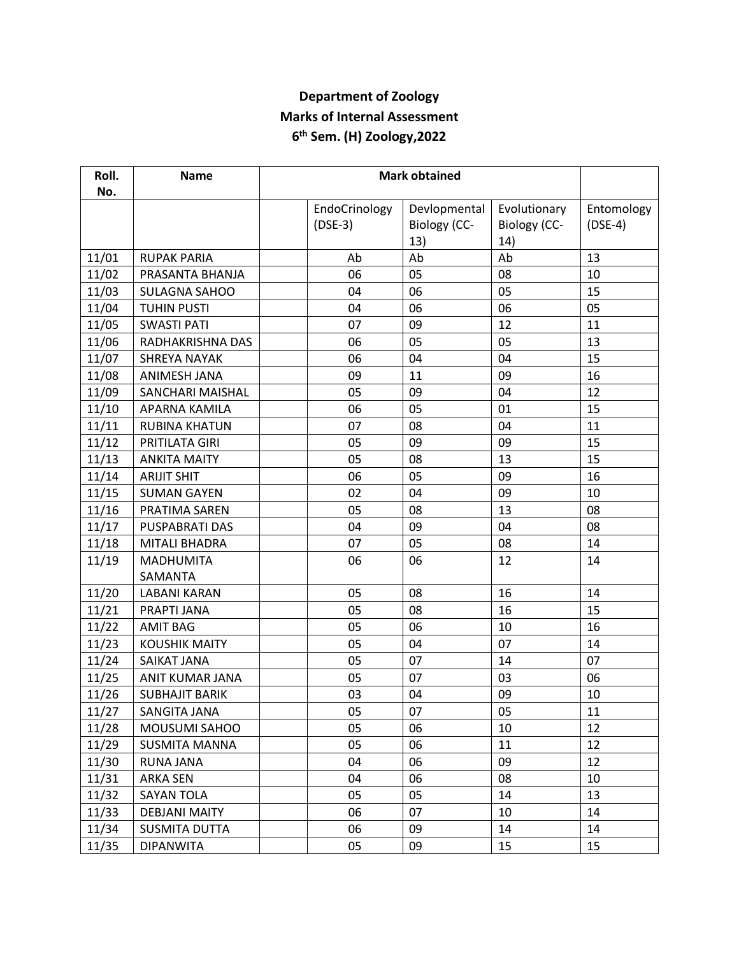## **Department of Zoology Marks of Internal Assessment 6 th Sem. (H) Zoology,2022**

| Roll. | <b>Name</b>           |  |               |                     |                     |            |
|-------|-----------------------|--|---------------|---------------------|---------------------|------------|
| No.   |                       |  | EndoCrinology | Devlopmental        | Evolutionary        | Entomology |
|       |                       |  | $(DSE-3)$     | <b>Biology (CC-</b> | <b>Biology (CC-</b> | $(DSE-4)$  |
|       |                       |  |               | 13)                 | 14)                 |            |
| 11/01 | <b>RUPAK PARIA</b>    |  | Ab            | Ab                  | Ab                  | 13         |
| 11/02 | PRASANTA BHANJA       |  | 06            | 05                  | 08                  | 10         |
| 11/03 | <b>SULAGNA SAHOO</b>  |  | 04            | 06                  | 05                  | 15         |
| 11/04 | <b>TUHIN PUSTI</b>    |  | 04            | 06                  | 06                  | 05         |
| 11/05 | <b>SWASTI PATI</b>    |  | 07            | 09                  | 12                  | 11         |
| 11/06 | RADHAKRISHNA DAS      |  | 06            | 05                  | 05                  | 13         |
| 11/07 | <b>SHREYA NAYAK</b>   |  | 06            | 04                  | 04                  | 15         |
| 11/08 | ANIMESH JANA          |  | 09            | 11                  | 09                  | 16         |
| 11/09 | SANCHARI MAISHAL      |  | 05            | 09                  | 04                  | 12         |
| 11/10 | APARNA KAMILA         |  | 06            | 05                  | 01                  | 15         |
| 11/11 | <b>RUBINA KHATUN</b>  |  | 07            | 08                  | 04                  | 11         |
| 11/12 | PRITILATA GIRI        |  | 05            | 09                  | 09                  | 15         |
| 11/13 | <b>ANKITA MAITY</b>   |  | 05            | 08                  | 13                  | 15         |
| 11/14 | <b>ARIJIT SHIT</b>    |  | 06            | 05                  | 09                  | 16         |
| 11/15 | <b>SUMAN GAYEN</b>    |  | 02            | 04                  | 09                  | 10         |
| 11/16 | PRATIMA SAREN         |  | 05            | 08                  | 13                  | 08         |
| 11/17 | PUSPABRATI DAS        |  | 04            | 09                  | 04                  | 08         |
| 11/18 | <b>MITALI BHADRA</b>  |  | 07            | 05                  | 08                  | 14         |
| 11/19 | <b>MADHUMITA</b>      |  | 06            | 06                  | 12                  | 14         |
|       | SAMANTA               |  |               |                     |                     |            |
| 11/20 | <b>LABANI KARAN</b>   |  | 05            | 08                  | 16                  | 14         |
| 11/21 | PRAPTI JANA           |  | 05            | 08                  | 16                  | 15         |
| 11/22 | <b>AMIT BAG</b>       |  | 05            | 06                  | 10                  | 16         |
| 11/23 | <b>KOUSHIK MAITY</b>  |  | 05            | 04                  | 07                  | 14         |
| 11/24 | SAIKAT JANA           |  | 05            | 07                  | 14                  | 07         |
| 11/25 | ANIT KUMAR JANA       |  | 05            | 07                  | 03                  | 06         |
| 11/26 | <b>SUBHAJIT BARIK</b> |  | 03            | 04                  | 09                  | 10         |
| 11/27 | SANGITA JANA          |  | 05            | 07                  | 05                  | 11         |
| 11/28 | <b>MOUSUMI SAHOO</b>  |  | 05            | 06                  | 10                  | 12         |
| 11/29 | <b>SUSMITA MANNA</b>  |  | 05            | 06                  | 11                  | 12         |
| 11/30 | RUNA JANA             |  | 04            | 06                  | 09                  | 12         |
| 11/31 | <b>ARKA SEN</b>       |  | 04            | 06                  | 08                  | 10         |
| 11/32 | <b>SAYAN TOLA</b>     |  | 05            | 05                  | 14                  | 13         |
| 11/33 | <b>DEBJANI MAITY</b>  |  | 06            | 07                  | 10                  | 14         |
| 11/34 | <b>SUSMITA DUTTA</b>  |  | 06            | 09                  | 14                  | 14         |
| 11/35 | <b>DIPANWITA</b>      |  | 05            | 09                  | 15                  | 15         |